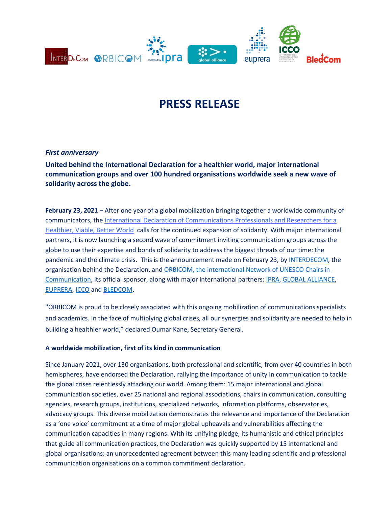

# **PRESS RELEASE**

## *First anniversary*

**United behind the International Declaration for a healthier world, major international communication groups and over 100 hundred organisations worldwide seek a new wave of solidarity across the globe.**

**February 23, 2021** − After one year of a global mobilization bringing together a worldwide community of communicators, the [International Declaration of Communications Professionals and Researchers for a](http://www.interdecom.org/english/)  [Healthier, Viable, Better World](http://www.interdecom.org/english/) calls for the continued expansion of solidarity. With major international partners, it is now launching a second wave of commitment inviting communication groups across the globe to use their expertise and bonds of solidarity to address the biggest threats of our time: the pandemic and the climate crisis. This is the announcement made on February 23, by [INTERDECOM,](http://www.interdecom.org/) the organisation behind the Declaration, and [ORBICOM, the international Network of UNESCO Chairs in](https://orbicom.ca/?lang=en)  [Communication,](https://orbicom.ca/?lang=en) its official sponsor, along with major international partners[: IPRA,](http://www.ipra.org/) GLOBAL [ALLIANCE,](http://www.globalalliancepr.org/) [EUPRERA,](https://euprera.org/) [ICCO](https://iccopr.com/) an[d BLEDCOM.](https://www.bledcom.com/)

"ORBICOM is proud to be closely associated with this ongoing mobilization of communications specialists and academics. In the face of multiplying global crises, all our synergies and solidarity are needed to help in building a healthier world," declared Oumar Kane, Secretary General.

### **A worldwide mobilization, first of its kind in communication**

Since January 2021, over 130 organisations, both professional and scientific, from over 40 countries in both hemispheres, have endorsed the Declaration, rallying the importance of unity in communication to tackle the global crises relentlessly attacking our world. Among them: 15 major international and global communication societies, over 25 national and regional associations, chairs in communication, consulting agencies, research groups, institutions, specialized networks, information platforms, observatories, advocacy groups. This diverse mobilization demonstrates the relevance and importance of the Declaration as a 'one voice' commitment at a time of major global upheavals and vulnerabilities affecting the communication capacities in many regions. With its unifying pledge, its humanistic and ethical principles that guide all communication practices, the Declaration was quickly supported by 15 international and global organisations: an unprecedented agreement between this many leading scientific and professional communication organisations on a common commitment declaration.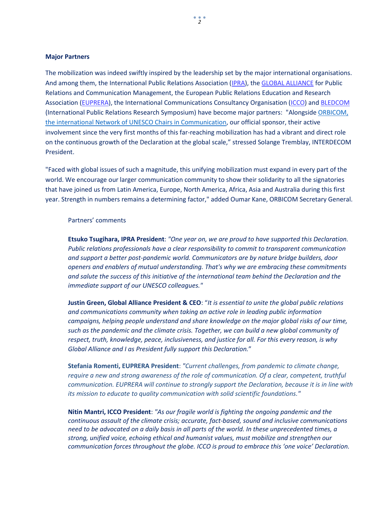### **Major Partners**

The mobilization was indeed swiftly inspired by the leadership set by the major international organisations. And among them, the International Public Relations Association [\(IPRA\)](http://www.ipra.org/), th[e GLOBAL ALLIANCE](http://www.globalalliancepr.org/) for Public Relations and Communication Management, the European Public Relations Education and Research Association [\(EUPRERA\)](https://euprera.org/), the International Communications Consultancy Organisation [\(ICCO\)](https://iccopr.com/) and [BLEDCOM](https://www.bledcom.com/) (International Public Relations Research Symposium) have become major partners: "Alongsid[e ORBICOM,](https://orbicom.ca/?lang=en)  [the international Network of UNESCO Chairs in Communication,](https://orbicom.ca/?lang=en) our official sponsor, their active involvement since the very first months of this far-reaching mobilization has had a vibrant and direct role on the continuous growth of the Declaration at the global scale," stressed Solange Tremblay, INTERDECOM President.

"Faced with global issues of such a magnitude, this unifying mobilization must expand in every part of the world. We encourage our larger communication community to show their solidarity to all the signatories that have joined us from Latin America, Europe, North America, Africa, Asia and Australia during this first year. Strength in numbers remains a determining factor," added Oumar Kane, ORBICOM Secretary General.

### Partners' comments

**Etsuko Tsugihara, IPRA President**: *"One year on, we are proud to have supported this Declaration. Public relations professionals have a clear responsibility to commit to transparent communication and support a better post-pandemic world. Communicators are by nature bridge builders, door openers and enablers of mutual understanding. That's why we are embracing these commitments and salute the success of this initiative of the international team behind the Declaration and the immediate support of our UNESCO colleagues."*

**Justin Green, Global Alliance President & CEO**: "*It is essential to unite the global public relations and communications community when taking an active role in leading public information campaigns, helping people understand and share knowledge on the major global risks of our time, such as the pandemic and the climate crisis. Together, we can build a new global community of respect, truth, knowledge, peace, inclusiveness, and justice for all. For this every reason, is why Global Alliance and I as President fully support this Declaration.*"

**Stefania Romenti, EUPRERA President**: *"Current challenges, from pandemic to climate change, require a new and strong awareness of the role of communication. Of a clear, competent, truthful communication. EUPRERA will continue to strongly support the Declaration, because it is in line with its mission to educate to quality communication with solid scientific foundations."*

**Nitin Mantri, ICCO President**: *"As our fragile world is fighting the ongoing pandemic and the continuous assault of the climate crisis; accurate, fact-based, sound and inclusive communications need to be advocated on a daily basis in all parts of the world. In these unprecedented times, a strong, unified voice, echoing ethical and humanist values, must mobilize and strengthen our communication forces throughout the globe. ICCO is proud to embrace this 'one voice' Declaration.*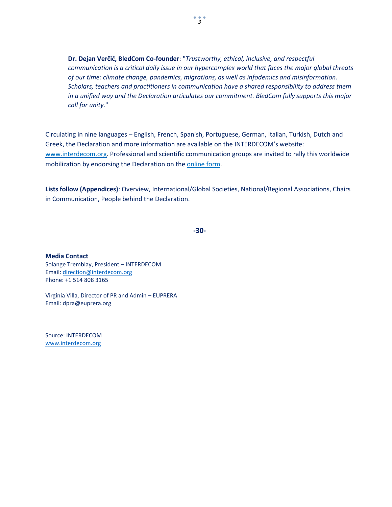**Dr. Dejan Verčič, BledCom Co-founder**: "*Trustworthy, ethical, inclusive, and respectful communication is a critical daily issue in our hypercomplex world that faces the major global threats of our time: climate change, pandemics, migrations, as well as infodemics and misinformation. Scholars, teachers and practitioners in communication have a shared responsibility to address them in a unified way and the Declaration articulates our commitment. BledCom fully supports this major call for unity.*"

Circulating in nine languages ─ English, French, Spanish, Portuguese, German, Italian, Turkish, Dutch and Greek, the Declaration and more information are available on the INTERDECOM's website: [www.interdecom.org.](http://www.interdecom.org/) Professional and scientific communication groups are invited to rally this worldwide mobilization by endorsing the Declaration on the [online form.](https://www.interdecom.org/formulaire-signature/)

**Lists follow (Appendices)**: Overview, International/Global Societies, National/Regional Associations, Chairs in Communication, People behind the Declaration.

**-30-**

**Media Contact** Solange Tremblay, President – INTERDECOM Email: [direction@interdecom.org](mailto:direction@interdecom.org)  Phone: +1 514 808 3165

Virginia Villa, Director of PR and Admin – EUPRERA Email: dpra@euprera.org

Source: INTERDECOM [www.interdecom.org](http://www.interdecom.org/)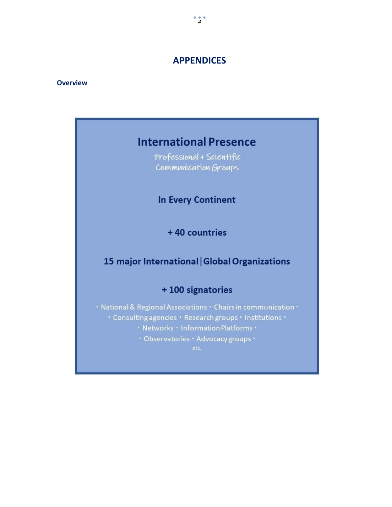# **APPENDICES**

### **Overview**

# **International Presence**

Professional + Scientific Communication Groups

**In Every Continent** 

+40 countries

# 15 major International | Global Organizations

## +100 signatories

· National & Regional Associations · Chairs in communication · · Consulting agencies · Research groups · Institutions ·

· Networks · Information Platforms ·

· Observatories · Advocacy groups ·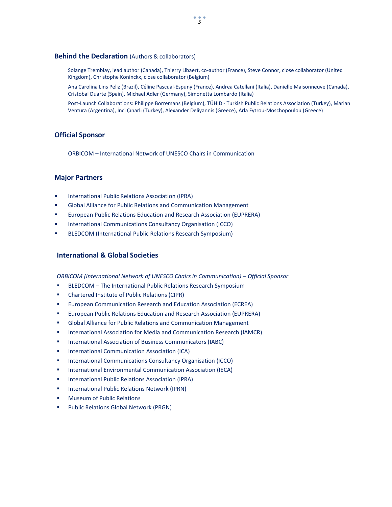#### **Behind the Declaration** (Authors & collaborators)

Solange Tremblay, lead author (Canada), Thierry Libaert, co-author (France), Steve Connor, close collaborator (United Kingdom), Christophe Koninckx, close collaborator (Belgium)

Ana Carolina Lins Peliz (Brazil), Céline Pascual-Espuny (France), Andrea Catellani (Italia), Danielle Maisonneuve (Canada), Cristobal Duarte (Spain), Michael Adler (Germany), Simonetta Lombardo (Italia)

Post-Launch Collaborations: Philippe Borremans (Belgium), TÜHİD - Turkish Public Relations Association (Turkey), Marian Ventura (Argentina), İnci Çınarlı (Turkey), Alexander Deliyannis (Greece), Arla Fytrou-Moschopoulou (Greece)

#### **Official Sponsor**

ORBICOM – International Network of UNESCO Chairs in Communication

### **Major Partners**

- International Public Relations Association (IPRA)
- Global Alliance for Public Relations and Communication Management
- European Public Relations Education and Research Association (EUPRERA)
- International Communications Consultancy Organisation (ICCO)
- BLEDCOM (International Public Relations Research Symposium)

### **International & Global Societies**

**ORBICOM (International Network of UNESCO Chairs in Communication) – Official Sponsor** 

- **BLEDCOM** The International Public Relations Research Symposium
- Chartered Institute of Public Relations (CIPR)
- **EUROPEAN COMMUNICATION Research and Education Association (ECREA)**
- **EURIO** European Public Relations Education and Research Association (EUPRERA)
- **Global Alliance for Public Relations and Communication Management**
- **International Association for Media and Communication Research (IAMCR)**
- International Association of Business Communicators (IABC)
- **International Communication Association (ICA)**
- International Communications Consultancy Organisation (ICCO)
- **International Environmental Communication Association (IECA)**
- **International Public Relations Association (IPRA)**
- **International Public Relations Network (IPRN)**
- Museum of Public Relations
- Public Relations Global Network (PRGN)